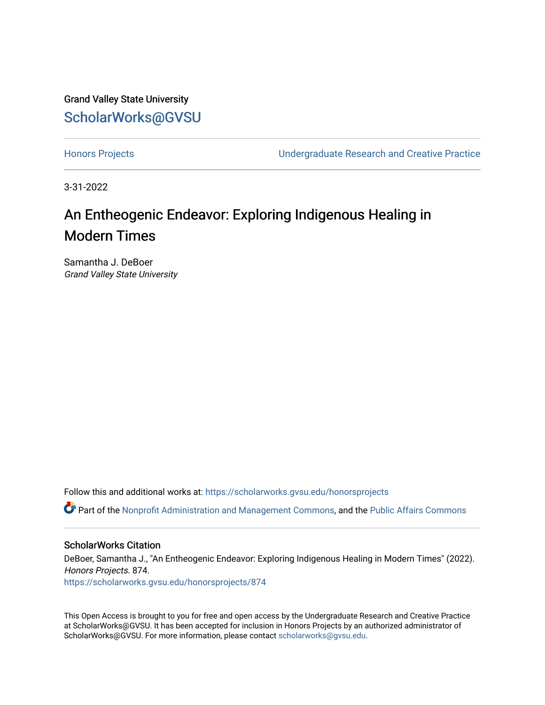Grand Valley State University [ScholarWorks@GVSU](https://scholarworks.gvsu.edu/) 

[Honors Projects](https://scholarworks.gvsu.edu/honorsprojects) [Undergraduate Research and Creative Practice](https://scholarworks.gvsu.edu/urcp) 

3-31-2022

# An Entheogenic Endeavor: Exploring Indigenous Healing in Modern Times

Samantha J. DeBoer Grand Valley State University

Follow this and additional works at: [https://scholarworks.gvsu.edu/honorsprojects](https://scholarworks.gvsu.edu/honorsprojects?utm_source=scholarworks.gvsu.edu%2Fhonorsprojects%2F874&utm_medium=PDF&utm_campaign=PDFCoverPages) 

Part of the [Nonprofit Administration and Management Commons,](http://network.bepress.com/hgg/discipline/1228?utm_source=scholarworks.gvsu.edu%2Fhonorsprojects%2F874&utm_medium=PDF&utm_campaign=PDFCoverPages) and the [Public Affairs Commons](http://network.bepress.com/hgg/discipline/399?utm_source=scholarworks.gvsu.edu%2Fhonorsprojects%2F874&utm_medium=PDF&utm_campaign=PDFCoverPages)

# ScholarWorks Citation

DeBoer, Samantha J., "An Entheogenic Endeavor: Exploring Indigenous Healing in Modern Times" (2022). Honors Projects. 874. [https://scholarworks.gvsu.edu/honorsprojects/874](https://scholarworks.gvsu.edu/honorsprojects/874?utm_source=scholarworks.gvsu.edu%2Fhonorsprojects%2F874&utm_medium=PDF&utm_campaign=PDFCoverPages) 

This Open Access is brought to you for free and open access by the Undergraduate Research and Creative Practice at ScholarWorks@GVSU. It has been accepted for inclusion in Honors Projects by an authorized administrator of ScholarWorks@GVSU. For more information, please contact [scholarworks@gvsu.edu](mailto:scholarworks@gvsu.edu).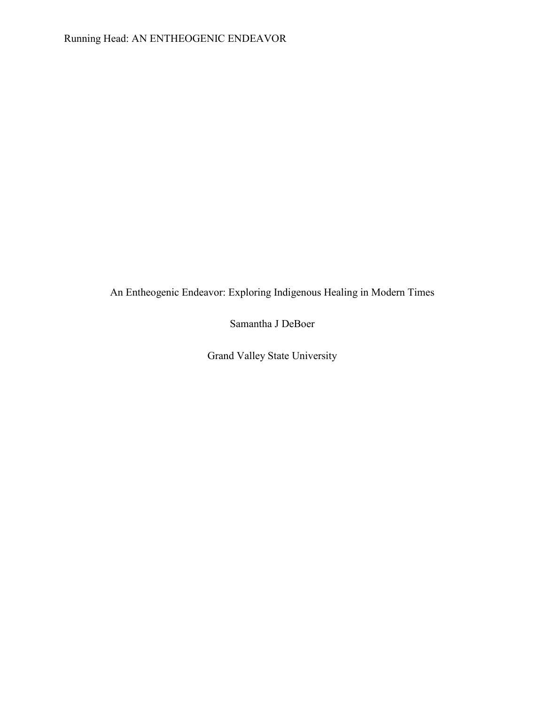An Entheogenic Endeavor: Exploring Indigenous Healing in Modern Times

Samantha J DeBoer

Grand Valley State University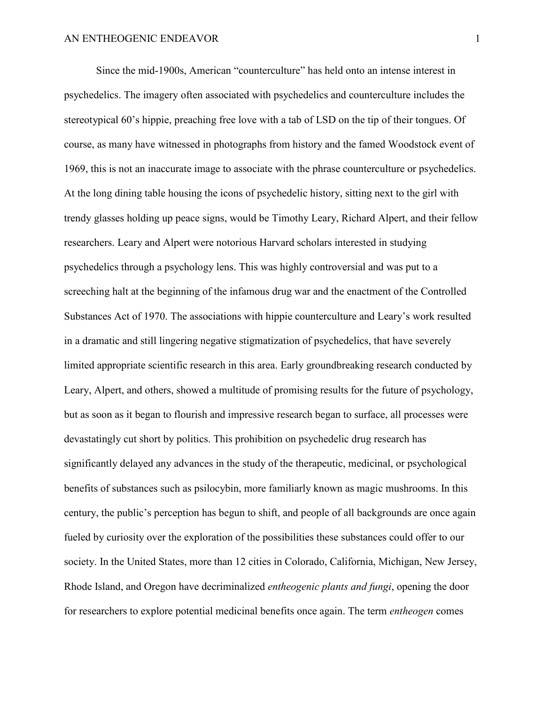Since the mid-1900s, American "counterculture" has held onto an intense interest in psychedelics. The imagery often associated with psychedelics and counterculture includes the stereotypical 60's hippie, preaching free love with a tab of LSD on the tip of their tongues. Of course, as many have witnessed in photographs from history and the famed Woodstock event of 1969, this is not an inaccurate image to associate with the phrase counterculture or psychedelics. At the long dining table housing the icons of psychedelic history, sitting next to the girl with trendy glasses holding up peace signs, would be Timothy Leary, Richard Alpert, and their fellow researchers. Leary and Alpert were notorious Harvard scholars interested in studying psychedelics through a psychology lens. This was highly controversial and was put to a screeching halt at the beginning of the infamous drug war and the enactment of the Controlled Substances Act of 1970. The associations with hippie counterculture and Leary's work resulted in a dramatic and still lingering negative stigmatization of psychedelics, that have severely limited appropriate scientific research in this area. Early groundbreaking research conducted by Leary, Alpert, and others, showed a multitude of promising results for the future of psychology, but as soon as it began to flourish and impressive research began to surface, all processes were devastatingly cut short by politics. This prohibition on psychedelic drug research has significantly delayed any advances in the study of the therapeutic, medicinal, or psychological benefits of substances such as psilocybin, more familiarly known as magic mushrooms. In this century, the public's perception has begun to shift, and people of all backgrounds are once again fueled by curiosity over the exploration of the possibilities these substances could offer to our society. In the United States, more than 12 cities in Colorado, California, Michigan, New Jersey, Rhode Island, and Oregon have decriminalized *entheogenic plants and fungi*, opening the door for researchers to explore potential medicinal benefits once again. The term *entheogen* comes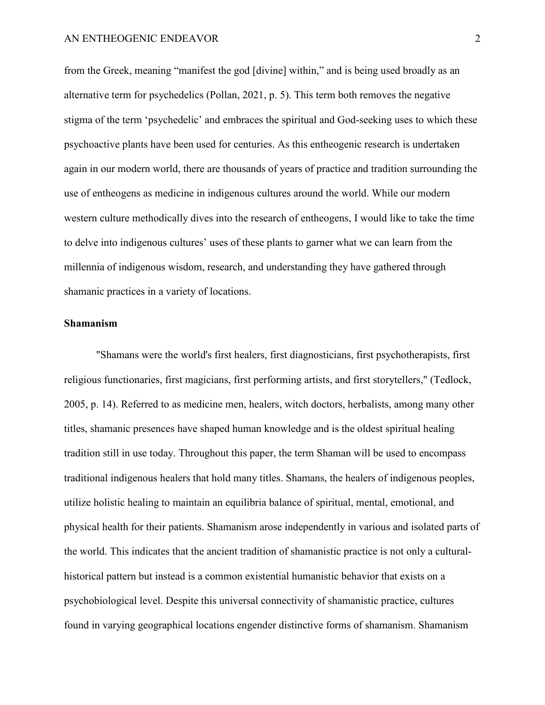from the Greek, meaning "manifest the god [divine] within," and is being used broadly as an alternative term for psychedelics (Pollan, 2021, p. 5). This term both removes the negative stigma of the term 'psychedelic' and embraces the spiritual and God-seeking uses to which these psychoactive plants have been used for centuries. As this entheogenic research is undertaken again in our modern world, there are thousands of years of practice and tradition surrounding the use of entheogens as medicine in indigenous cultures around the world. While our modern western culture methodically dives into the research of entheogens, I would like to take the time to delve into indigenous cultures' uses of these plants to garner what we can learn from the millennia of indigenous wisdom, research, and understanding they have gathered through shamanic practices in a variety of locations.

# **Shamanism**

"Shamans were the world's first healers, first diagnosticians, first psychotherapists, first religious functionaries, first magicians, first performing artists, and first storytellers," (Tedlock, 2005, p. 14). Referred to as medicine men, healers, witch doctors, herbalists, among many other titles, shamanic presences have shaped human knowledge and is the oldest spiritual healing tradition still in use today. Throughout this paper, the term Shaman will be used to encompass traditional indigenous healers that hold many titles. Shamans, the healers of indigenous peoples, utilize holistic healing to maintain an equilibria balance of spiritual, mental, emotional, and physical health for their patients. Shamanism arose independently in various and isolated parts of the world. This indicates that the ancient tradition of shamanistic practice is not only a culturalhistorical pattern but instead is a common existential humanistic behavior that exists on a psychobiological level. Despite this universal connectivity of shamanistic practice, cultures found in varying geographical locations engender distinctive forms of shamanism. Shamanism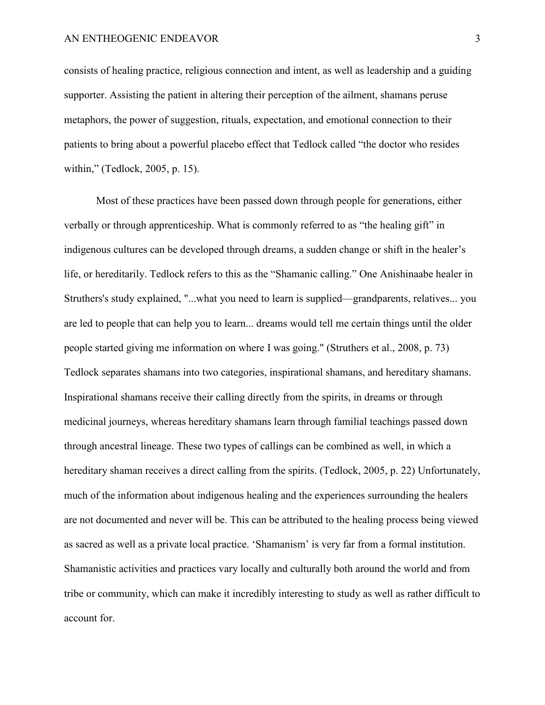consists of healing practice, religious connection and intent, as well as leadership and a guiding supporter. Assisting the patient in altering their perception of the ailment, shamans peruse metaphors, the power of suggestion, rituals, expectation, and emotional connection to their patients to bring about a powerful placebo effect that Tedlock called "the doctor who resides within," (Tedlock, 2005, p. 15).

Most of these practices have been passed down through people for generations, either verbally or through apprenticeship. What is commonly referred to as "the healing gift" in indigenous cultures can be developed through dreams, a sudden change or shift in the healer's life, or hereditarily. Tedlock refers to this as the "Shamanic calling." One Anishinaabe healer in Struthers's study explained, "...what you need to learn is supplied—grandparents, relatives... you are led to people that can help you to learn... dreams would tell me certain things until the older people started giving me information on where I was going." (Struthers et al., 2008, p. 73) Tedlock separates shamans into two categories, inspirational shamans, and hereditary shamans. Inspirational shamans receive their calling directly from the spirits, in dreams or through medicinal journeys, whereas hereditary shamans learn through familial teachings passed down through ancestral lineage. These two types of callings can be combined as well, in which a hereditary shaman receives a direct calling from the spirits. (Tedlock, 2005, p. 22) Unfortunately, much of the information about indigenous healing and the experiences surrounding the healers are not documented and never will be. This can be attributed to the healing process being viewed as sacred as well as a private local practice. 'Shamanism' is very far from a formal institution. Shamanistic activities and practices vary locally and culturally both around the world and from tribe or community, which can make it incredibly interesting to study as well as rather difficult to account for.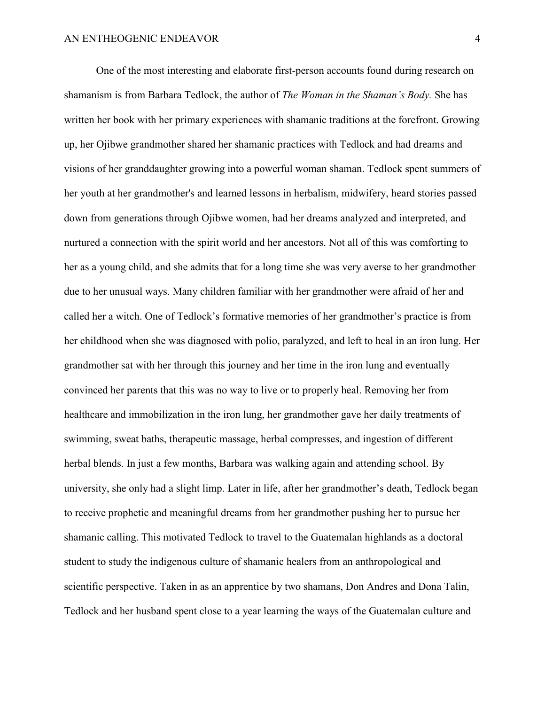One of the most interesting and elaborate first-person accounts found during research on shamanism is from Barbara Tedlock, the author of *The Woman in the Shaman's Body.* She has written her book with her primary experiences with shamanic traditions at the forefront. Growing up, her Ojibwe grandmother shared her shamanic practices with Tedlock and had dreams and visions of her granddaughter growing into a powerful woman shaman. Tedlock spent summers of her youth at her grandmother's and learned lessons in herbalism, midwifery, heard stories passed down from generations through Ojibwe women, had her dreams analyzed and interpreted, and nurtured a connection with the spirit world and her ancestors. Not all of this was comforting to her as a young child, and she admits that for a long time she was very averse to her grandmother due to her unusual ways. Many children familiar with her grandmother were afraid of her and called her a witch. One of Tedlock's formative memories of her grandmother's practice is from her childhood when she was diagnosed with polio, paralyzed, and left to heal in an iron lung. Her grandmother sat with her through this journey and her time in the iron lung and eventually convinced her parents that this was no way to live or to properly heal. Removing her from healthcare and immobilization in the iron lung, her grandmother gave her daily treatments of swimming, sweat baths, therapeutic massage, herbal compresses, and ingestion of different herbal blends. In just a few months, Barbara was walking again and attending school. By university, she only had a slight limp. Later in life, after her grandmother's death, Tedlock began to receive prophetic and meaningful dreams from her grandmother pushing her to pursue her shamanic calling. This motivated Tedlock to travel to the Guatemalan highlands as a doctoral student to study the indigenous culture of shamanic healers from an anthropological and scientific perspective. Taken in as an apprentice by two shamans, Don Andres and Dona Talin, Tedlock and her husband spent close to a year learning the ways of the Guatemalan culture and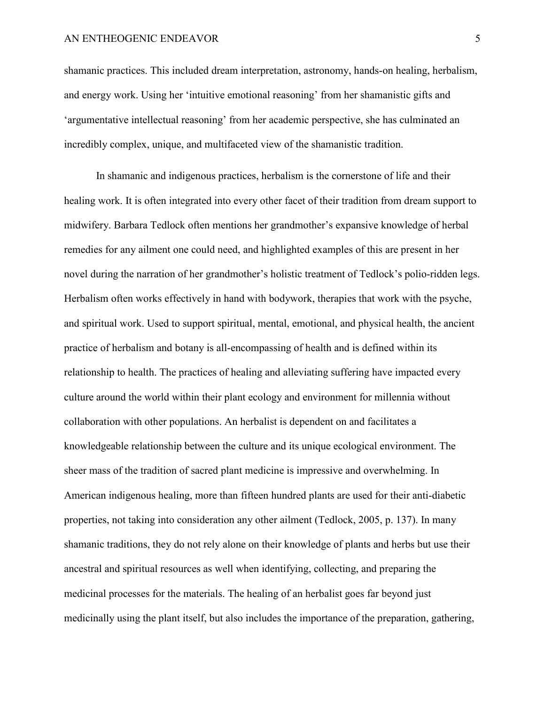shamanic practices. This included dream interpretation, astronomy, hands-on healing, herbalism, and energy work. Using her 'intuitive emotional reasoning' from her shamanistic gifts and 'argumentative intellectual reasoning' from her academic perspective, she has culminated an incredibly complex, unique, and multifaceted view of the shamanistic tradition.

In shamanic and indigenous practices, herbalism is the cornerstone of life and their healing work. It is often integrated into every other facet of their tradition from dream support to midwifery. Barbara Tedlock often mentions her grandmother's expansive knowledge of herbal remedies for any ailment one could need, and highlighted examples of this are present in her novel during the narration of her grandmother's holistic treatment of Tedlock's polio-ridden legs. Herbalism often works effectively in hand with bodywork, therapies that work with the psyche, and spiritual work. Used to support spiritual, mental, emotional, and physical health, the ancient practice of herbalism and botany is all-encompassing of health and is defined within its relationship to health. The practices of healing and alleviating suffering have impacted every culture around the world within their plant ecology and environment for millennia without collaboration with other populations. An herbalist is dependent on and facilitates a knowledgeable relationship between the culture and its unique ecological environment. The sheer mass of the tradition of sacred plant medicine is impressive and overwhelming. In American indigenous healing, more than fifteen hundred plants are used for their anti-diabetic properties, not taking into consideration any other ailment (Tedlock, 2005, p. 137). In many shamanic traditions, they do not rely alone on their knowledge of plants and herbs but use their ancestral and spiritual resources as well when identifying, collecting, and preparing the medicinal processes for the materials. The healing of an herbalist goes far beyond just medicinally using the plant itself, but also includes the importance of the preparation, gathering,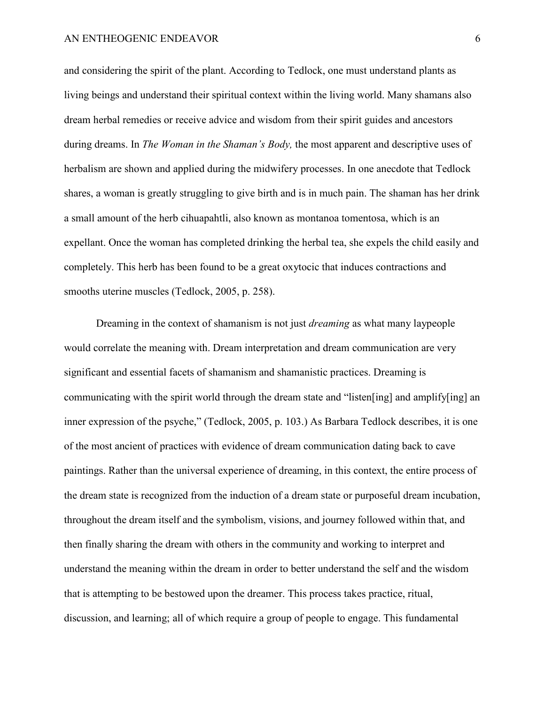and considering the spirit of the plant. According to Tedlock, one must understand plants as living beings and understand their spiritual context within the living world. Many shamans also dream herbal remedies or receive advice and wisdom from their spirit guides and ancestors during dreams. In *The Woman in the Shaman's Body,* the most apparent and descriptive uses of herbalism are shown and applied during the midwifery processes. In one anecdote that Tedlock shares, a woman is greatly struggling to give birth and is in much pain. The shaman has her drink a small amount of the herb cihuapahtli, also known as montanoa tomentosa, which is an expellant. Once the woman has completed drinking the herbal tea, she expels the child easily and completely. This herb has been found to be a great oxytocic that induces contractions and smooths uterine muscles (Tedlock, 2005, p. 258).

Dreaming in the context of shamanism is not just *dreaming* as what many laypeople would correlate the meaning with. Dream interpretation and dream communication are very significant and essential facets of shamanism and shamanistic practices. Dreaming is communicating with the spirit world through the dream state and "listen[ing] and amplify[ing] an inner expression of the psyche," (Tedlock, 2005, p. 103.) As Barbara Tedlock describes, it is one of the most ancient of practices with evidence of dream communication dating back to cave paintings. Rather than the universal experience of dreaming, in this context, the entire process of the dream state is recognized from the induction of a dream state or purposeful dream incubation, throughout the dream itself and the symbolism, visions, and journey followed within that, and then finally sharing the dream with others in the community and working to interpret and understand the meaning within the dream in order to better understand the self and the wisdom that is attempting to be bestowed upon the dreamer. This process takes practice, ritual, discussion, and learning; all of which require a group of people to engage. This fundamental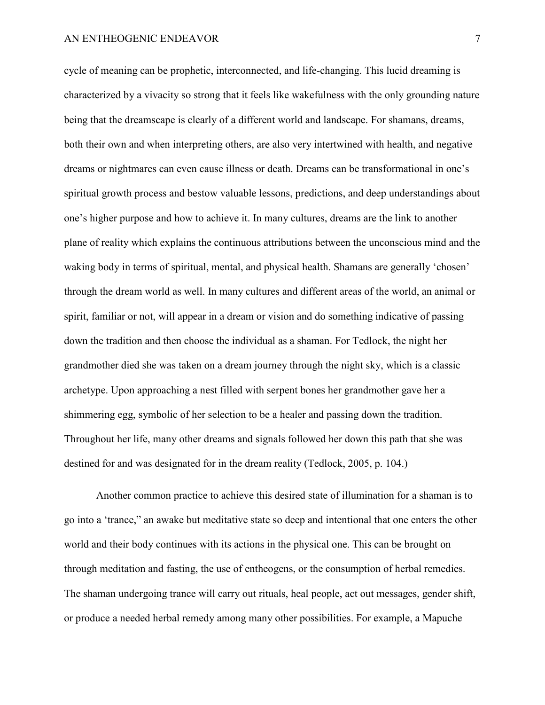cycle of meaning can be prophetic, interconnected, and life-changing. This lucid dreaming is characterized by a vivacity so strong that it feels like wakefulness with the only grounding nature being that the dreamscape is clearly of a different world and landscape. For shamans, dreams, both their own and when interpreting others, are also very intertwined with health, and negative dreams or nightmares can even cause illness or death. Dreams can be transformational in one's spiritual growth process and bestow valuable lessons, predictions, and deep understandings about one's higher purpose and how to achieve it. In many cultures, dreams are the link to another plane of reality which explains the continuous attributions between the unconscious mind and the waking body in terms of spiritual, mental, and physical health. Shamans are generally 'chosen' through the dream world as well. In many cultures and different areas of the world, an animal or spirit, familiar or not, will appear in a dream or vision and do something indicative of passing down the tradition and then choose the individual as a shaman. For Tedlock, the night her grandmother died she was taken on a dream journey through the night sky, which is a classic archetype. Upon approaching a nest filled with serpent bones her grandmother gave her a shimmering egg, symbolic of her selection to be a healer and passing down the tradition. Throughout her life, many other dreams and signals followed her down this path that she was destined for and was designated for in the dream reality (Tedlock, 2005, p. 104.)

Another common practice to achieve this desired state of illumination for a shaman is to go into a 'trance," an awake but meditative state so deep and intentional that one enters the other world and their body continues with its actions in the physical one. This can be brought on through meditation and fasting, the use of entheogens, or the consumption of herbal remedies. The shaman undergoing trance will carry out rituals, heal people, act out messages, gender shift, or produce a needed herbal remedy among many other possibilities. For example, a Mapuche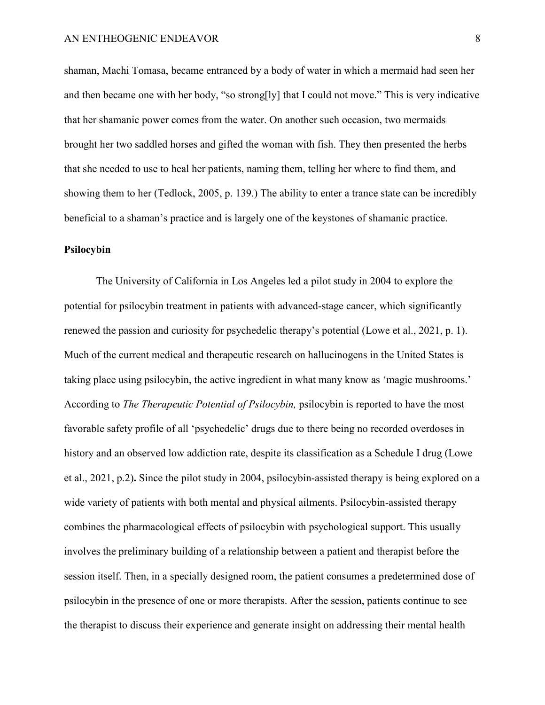shaman, Machi Tomasa, became entranced by a body of water in which a mermaid had seen her and then became one with her body, "so strong[ly] that I could not move." This is very indicative that her shamanic power comes from the water. On another such occasion, two mermaids brought her two saddled horses and gifted the woman with fish. They then presented the herbs that she needed to use to heal her patients, naming them, telling her where to find them, and showing them to her (Tedlock, 2005, p. 139.) The ability to enter a trance state can be incredibly beneficial to a shaman's practice and is largely one of the keystones of shamanic practice.

# **Psilocybin**

The University of California in Los Angeles led a pilot study in 2004 to explore the potential for psilocybin treatment in patients with advanced-stage cancer, which significantly renewed the passion and curiosity for psychedelic therapy's potential (Lowe et al., 2021, p. 1). Much of the current medical and therapeutic research on hallucinogens in the United States is taking place using psilocybin, the active ingredient in what many know as 'magic mushrooms.' According to *The Therapeutic Potential of Psilocybin,* psilocybin is reported to have the most favorable safety profile of all 'psychedelic' drugs due to there being no recorded overdoses in history and an observed low addiction rate, despite its classification as a Schedule I drug (Lowe et al., 2021, p.2)**.** Since the pilot study in 2004, psilocybin-assisted therapy is being explored on a wide variety of patients with both mental and physical ailments. Psilocybin-assisted therapy combines the pharmacological effects of psilocybin with psychological support. This usually involves the preliminary building of a relationship between a patient and therapist before the session itself. Then, in a specially designed room, the patient consumes a predetermined dose of psilocybin in the presence of one or more therapists. After the session, patients continue to see the therapist to discuss their experience and generate insight on addressing their mental health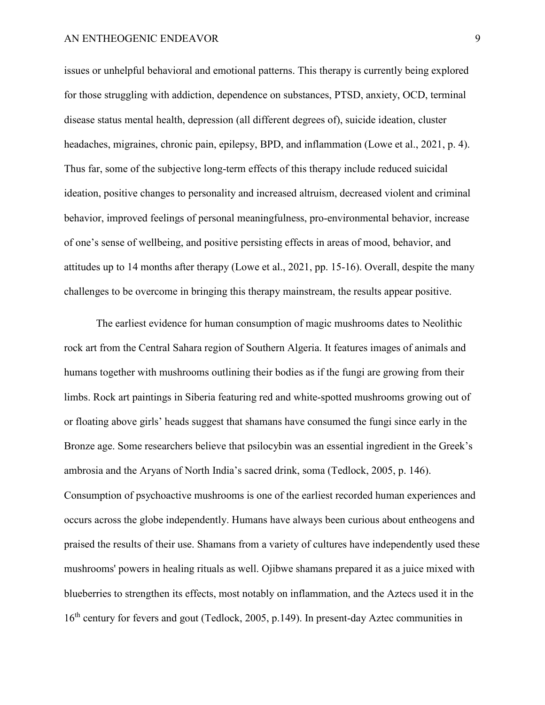issues or unhelpful behavioral and emotional patterns. This therapy is currently being explored for those struggling with addiction, dependence on substances, PTSD, anxiety, OCD, terminal disease status mental health, depression (all different degrees of), suicide ideation, cluster headaches, migraines, chronic pain, epilepsy, BPD, and inflammation (Lowe et al., 2021, p. 4). Thus far, some of the subjective long-term effects of this therapy include reduced suicidal ideation, positive changes to personality and increased altruism, decreased violent and criminal behavior, improved feelings of personal meaningfulness, pro-environmental behavior, increase of one's sense of wellbeing, and positive persisting effects in areas of mood, behavior, and attitudes up to 14 months after therapy (Lowe et al., 2021, pp. 15-16). Overall, despite the many challenges to be overcome in bringing this therapy mainstream, the results appear positive.

The earliest evidence for human consumption of magic mushrooms dates to Neolithic rock art from the Central Sahara region of Southern Algeria. It features images of animals and humans together with mushrooms outlining their bodies as if the fungi are growing from their limbs. Rock art paintings in Siberia featuring red and white-spotted mushrooms growing out of or floating above girls' heads suggest that shamans have consumed the fungi since early in the Bronze age. Some researchers believe that psilocybin was an essential ingredient in the Greek's ambrosia and the Aryans of North India's sacred drink, soma (Tedlock, 2005, p. 146). Consumption of psychoactive mushrooms is one of the earliest recorded human experiences and occurs across the globe independently. Humans have always been curious about entheogens and praised the results of their use. Shamans from a variety of cultures have independently used these mushrooms' powers in healing rituals as well. Ojibwe shamans prepared it as a juice mixed with blueberries to strengthen its effects, most notably on inflammation, and the Aztecs used it in the 16<sup>th</sup> century for fevers and gout (Tedlock, 2005, p.149). In present-day Aztec communities in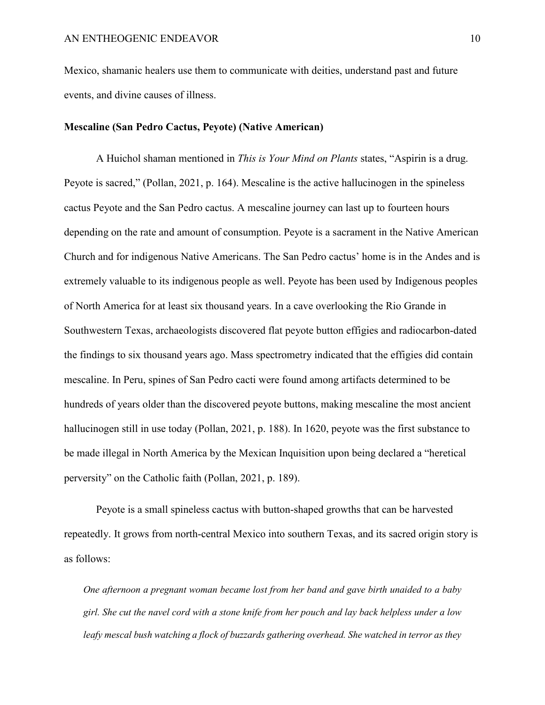Mexico, shamanic healers use them to communicate with deities, understand past and future events, and divine causes of illness.

# **Mescaline (San Pedro Cactus, Peyote) (Native American)**

A Huichol shaman mentioned in *This is Your Mind on Plants* states, "Aspirin is a drug. Peyote is sacred," (Pollan, 2021, p. 164). Mescaline is the active hallucinogen in the spineless cactus Peyote and the San Pedro cactus. A mescaline journey can last up to fourteen hours depending on the rate and amount of consumption. Peyote is a sacrament in the Native American Church and for indigenous Native Americans. The San Pedro cactus' home is in the Andes and is extremely valuable to its indigenous people as well. Peyote has been used by Indigenous peoples of North America for at least six thousand years. In a cave overlooking the Rio Grande in Southwestern Texas, archaeologists discovered flat peyote button effigies and radiocarbon-dated the findings to six thousand years ago. Mass spectrometry indicated that the effigies did contain mescaline. In Peru, spines of San Pedro cacti were found among artifacts determined to be hundreds of years older than the discovered peyote buttons, making mescaline the most ancient hallucinogen still in use today (Pollan, 2021, p. 188). In 1620, peyote was the first substance to be made illegal in North America by the Mexican Inquisition upon being declared a "heretical perversity" on the Catholic faith (Pollan, 2021, p. 189).

Peyote is a small spineless cactus with button-shaped growths that can be harvested repeatedly. It grows from north-central Mexico into southern Texas, and its sacred origin story is as follows:

*One afternoon a pregnant woman became lost from her band and gave birth unaided to a baby girl. She cut the navel cord with a stone knife from her pouch and lay back helpless under a low leafy mescal bush watching a flock of buzzards gathering overhead. She watched in terror as they*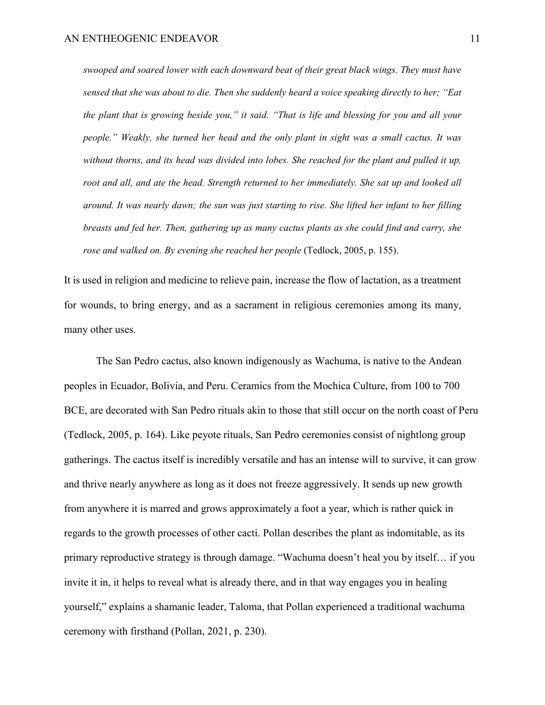*swooped and soared lower with each downward beat of their great black wings. They must have sensed that she was about to die. Then she suddenly heard a voice speaking directly to her; "Eat the plant that is growing beside you," it said. "That is life and blessing for you and all your people." Weakly, she turned her head and the only plant in sight was a small cactus. It was without thorns, and its head was divided into lobes. She reached for the plant and pulled it up, root and all, and ate the head. Strength returned to her immediately. She sat up and looked all around. It was nearly dawn; the sun was just starting to rise. She lifted her infant to her filling breasts and fed her. Then, gathering up as many cactus plants as she could find and carry, she rose and walked on. By evening she reached her people* (Tedlock, 2005, p. 155).

It is used in religion and medicine to relieve pain, increase the flow of lactation, as a treatment for wounds, to bring energy, and as a sacrament in religious ceremonies among its many, many other uses.

The San Pedro cactus, also known indigenously as Wachuma, is native to the Andean peoples in Ecuador, Bolivia, and Peru. Ceramics from the Mochica Culture, from 100 to 700 BCE, are decorated with San Pedro rituals akin to those that still occur on the north coast of Peru (Tedlock, 2005, p. 164). Like peyote rituals, San Pedro ceremonies consist of nightlong group gatherings. The cactus itself is incredibly versatile and has an intense will to survive, it can grow and thrive nearly anywhere as long as it does not freeze aggressively. It sends up new growth from anywhere it is marred and grows approximately a foot a year, which is rather quick in regards to the growth processes of other cacti. Pollan describes the plant as indomitable, as its primary reproductive strategy is through damage. "Wachuma doesn't heal you by itself… if you invite it in, it helps to reveal what is already there, and in that way engages you in healing yourself," explains a shamanic leader, Taloma, that Pollan experienced a traditional wachuma ceremony with firsthand (Pollan, 2021, p. 230).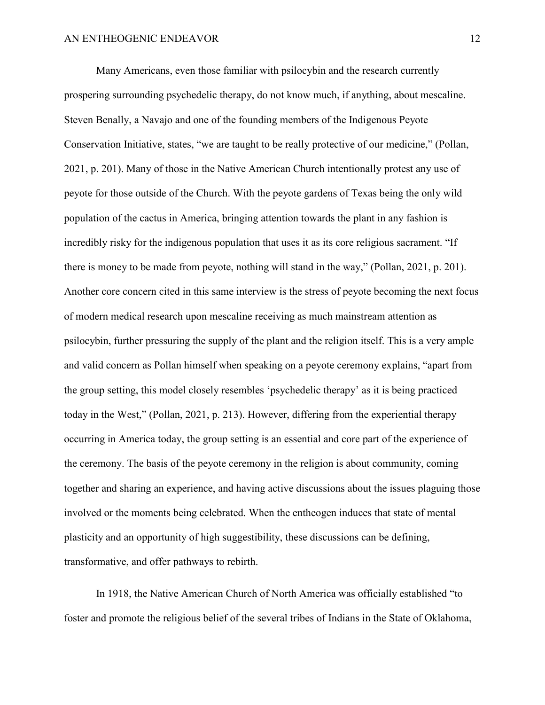Many Americans, even those familiar with psilocybin and the research currently prospering surrounding psychedelic therapy, do not know much, if anything, about mescaline. Steven Benally, a Navajo and one of the founding members of the Indigenous Peyote Conservation Initiative, states, "we are taught to be really protective of our medicine," (Pollan, 2021, p. 201). Many of those in the Native American Church intentionally protest any use of peyote for those outside of the Church. With the peyote gardens of Texas being the only wild population of the cactus in America, bringing attention towards the plant in any fashion is incredibly risky for the indigenous population that uses it as its core religious sacrament. "If there is money to be made from peyote, nothing will stand in the way," (Pollan, 2021, p. 201). Another core concern cited in this same interview is the stress of peyote becoming the next focus of modern medical research upon mescaline receiving as much mainstream attention as psilocybin, further pressuring the supply of the plant and the religion itself. This is a very ample and valid concern as Pollan himself when speaking on a peyote ceremony explains, "apart from the group setting, this model closely resembles 'psychedelic therapy' as it is being practiced today in the West," (Pollan, 2021, p. 213). However, differing from the experiential therapy occurring in America today, the group setting is an essential and core part of the experience of the ceremony. The basis of the peyote ceremony in the religion is about community, coming together and sharing an experience, and having active discussions about the issues plaguing those involved or the moments being celebrated. When the entheogen induces that state of mental plasticity and an opportunity of high suggestibility, these discussions can be defining, transformative, and offer pathways to rebirth.

In 1918, the Native American Church of North America was officially established "to foster and promote the religious belief of the several tribes of Indians in the State of Oklahoma,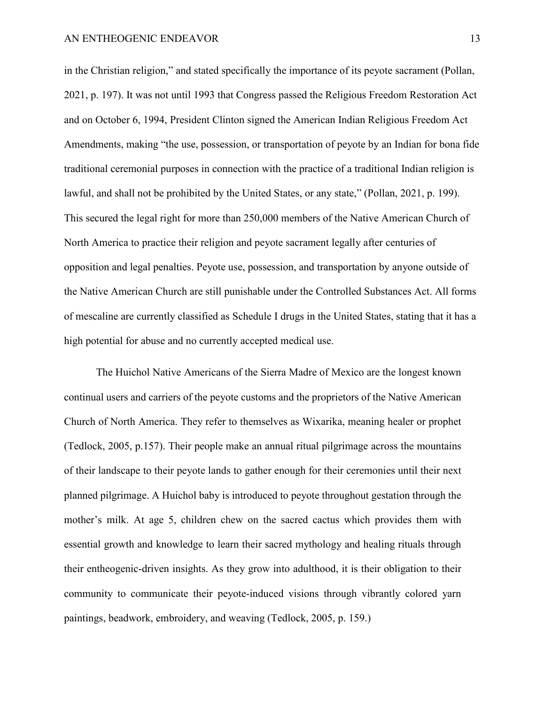in the Christian religion," and stated specifically the importance of its peyote sacrament (Pollan, 2021, p. 197). It was not until 1993 that Congress passed the Religious Freedom Restoration Act and on October 6, 1994, President Clinton signed the American Indian Religious Freedom Act Amendments, making "the use, possession, or transportation of peyote by an Indian for bona fide traditional ceremonial purposes in connection with the practice of a traditional Indian religion is lawful, and shall not be prohibited by the United States, or any state," (Pollan, 2021, p. 199). This secured the legal right for more than 250,000 members of the Native American Church of North America to practice their religion and peyote sacrament legally after centuries of opposition and legal penalties. Peyote use, possession, and transportation by anyone outside of the Native American Church are still punishable under the Controlled Substances Act. All forms of mescaline are currently classified as Schedule I drugs in the United States, stating that it has a high potential for abuse and no currently accepted medical use.

The Huichol Native Americans of the Sierra Madre of Mexico are the longest known continual users and carriers of the peyote customs and the proprietors of the Native American Church of North America. They refer to themselves as Wixarika, meaning healer or prophet (Tedlock, 2005, p.157). Their people make an annual ritual pilgrimage across the mountains of their landscape to their peyote lands to gather enough for their ceremonies until their next planned pilgrimage. A Huichol baby is introduced to peyote throughout gestation through the mother's milk. At age 5, children chew on the sacred cactus which provides them with essential growth and knowledge to learn their sacred mythology and healing rituals through their entheogenic-driven insights. As they grow into adulthood, it is their obligation to their community to communicate their peyote-induced visions through vibrantly colored yarn paintings, beadwork, embroidery, and weaving (Tedlock, 2005, p. 159.)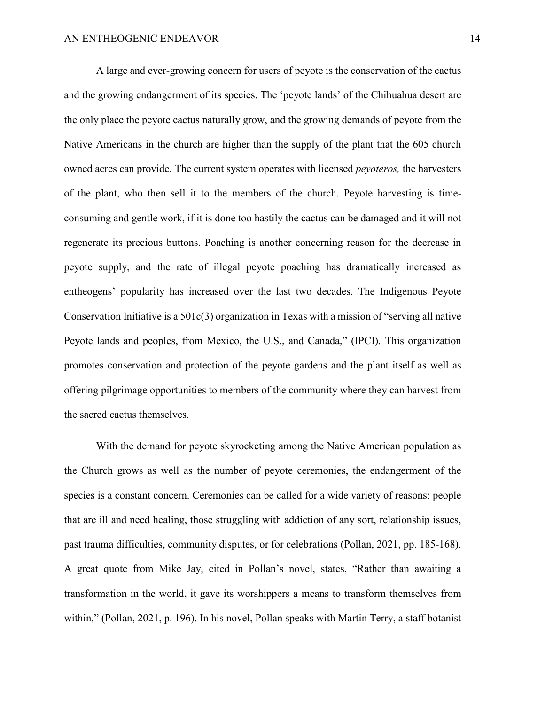A large and ever-growing concern for users of peyote is the conservation of the cactus and the growing endangerment of its species. The 'peyote lands' of the Chihuahua desert are the only place the peyote cactus naturally grow, and the growing demands of peyote from the Native Americans in the church are higher than the supply of the plant that the 605 church owned acres can provide. The current system operates with licensed *peyoteros,* the harvesters of the plant, who then sell it to the members of the church. Peyote harvesting is timeconsuming and gentle work, if it is done too hastily the cactus can be damaged and it will not regenerate its precious buttons. Poaching is another concerning reason for the decrease in peyote supply, and the rate of illegal peyote poaching has dramatically increased as entheogens' popularity has increased over the last two decades. The Indigenous Peyote Conservation Initiative is a 501c(3) organization in Texas with a mission of "serving all native Peyote lands and peoples, from Mexico, the U.S., and Canada," (IPCI). This organization promotes conservation and protection of the peyote gardens and the plant itself as well as offering pilgrimage opportunities to members of the community where they can harvest from the sacred cactus themselves.

With the demand for peyote skyrocketing among the Native American population as the Church grows as well as the number of peyote ceremonies, the endangerment of the species is a constant concern. Ceremonies can be called for a wide variety of reasons: people that are ill and need healing, those struggling with addiction of any sort, relationship issues, past trauma difficulties, community disputes, or for celebrations (Pollan, 2021, pp. 185-168). A great quote from Mike Jay, cited in Pollan's novel, states, "Rather than awaiting a transformation in the world, it gave its worshippers a means to transform themselves from within," (Pollan, 2021, p. 196). In his novel, Pollan speaks with Martin Terry, a staff botanist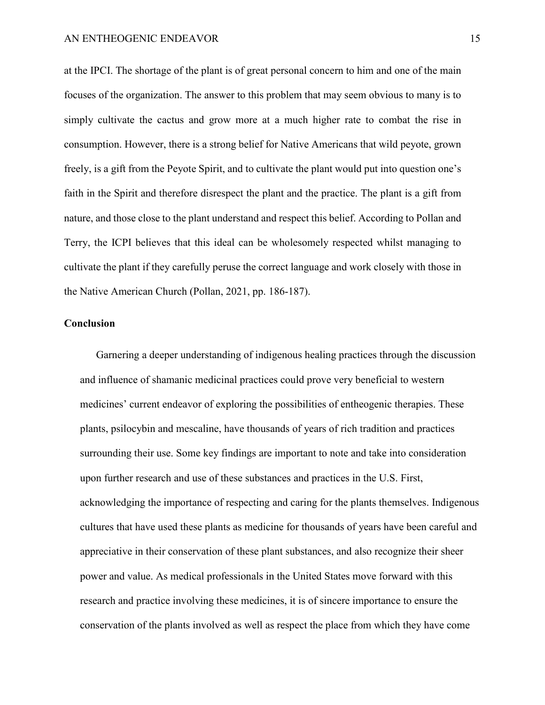at the IPCI. The shortage of the plant is of great personal concern to him and one of the main focuses of the organization. The answer to this problem that may seem obvious to many is to simply cultivate the cactus and grow more at a much higher rate to combat the rise in consumption. However, there is a strong belief for Native Americans that wild peyote, grown freely, is a gift from the Peyote Spirit, and to cultivate the plant would put into question one's faith in the Spirit and therefore disrespect the plant and the practice. The plant is a gift from nature, and those close to the plant understand and respect this belief. According to Pollan and Terry, the ICPI believes that this ideal can be wholesomely respected whilst managing to cultivate the plant if they carefully peruse the correct language and work closely with those in the Native American Church (Pollan, 2021, pp. 186-187).

# **Conclusion**

Garnering a deeper understanding of indigenous healing practices through the discussion and influence of shamanic medicinal practices could prove very beneficial to western medicines' current endeavor of exploring the possibilities of entheogenic therapies. These plants, psilocybin and mescaline, have thousands of years of rich tradition and practices surrounding their use. Some key findings are important to note and take into consideration upon further research and use of these substances and practices in the U.S. First, acknowledging the importance of respecting and caring for the plants themselves. Indigenous cultures that have used these plants as medicine for thousands of years have been careful and appreciative in their conservation of these plant substances, and also recognize their sheer power and value. As medical professionals in the United States move forward with this research and practice involving these medicines, it is of sincere importance to ensure the conservation of the plants involved as well as respect the place from which they have come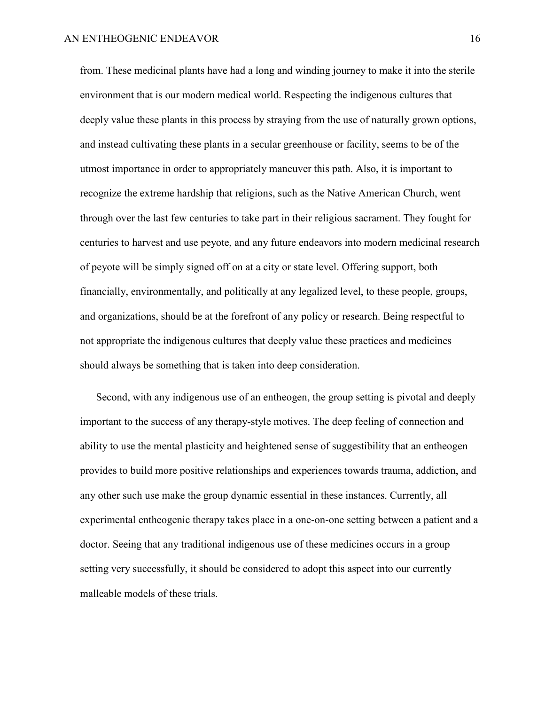from. These medicinal plants have had a long and winding journey to make it into the sterile environment that is our modern medical world. Respecting the indigenous cultures that deeply value these plants in this process by straying from the use of naturally grown options, and instead cultivating these plants in a secular greenhouse or facility, seems to be of the utmost importance in order to appropriately maneuver this path. Also, it is important to recognize the extreme hardship that religions, such as the Native American Church, went through over the last few centuries to take part in their religious sacrament. They fought for centuries to harvest and use peyote, and any future endeavors into modern medicinal research of peyote will be simply signed off on at a city or state level. Offering support, both financially, environmentally, and politically at any legalized level, to these people, groups, and organizations, should be at the forefront of any policy or research. Being respectful to not appropriate the indigenous cultures that deeply value these practices and medicines should always be something that is taken into deep consideration.

Second, with any indigenous use of an entheogen, the group setting is pivotal and deeply important to the success of any therapy-style motives. The deep feeling of connection and ability to use the mental plasticity and heightened sense of suggestibility that an entheogen provides to build more positive relationships and experiences towards trauma, addiction, and any other such use make the group dynamic essential in these instances. Currently, all experimental entheogenic therapy takes place in a one-on-one setting between a patient and a doctor. Seeing that any traditional indigenous use of these medicines occurs in a group setting very successfully, it should be considered to adopt this aspect into our currently malleable models of these trials.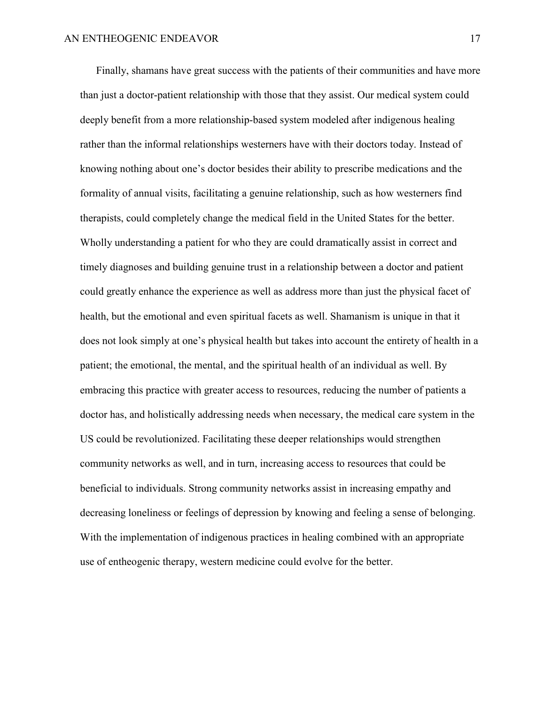Finally, shamans have great success with the patients of their communities and have more than just a doctor-patient relationship with those that they assist. Our medical system could deeply benefit from a more relationship-based system modeled after indigenous healing rather than the informal relationships westerners have with their doctors today. Instead of knowing nothing about one's doctor besides their ability to prescribe medications and the formality of annual visits, facilitating a genuine relationship, such as how westerners find therapists, could completely change the medical field in the United States for the better. Wholly understanding a patient for who they are could dramatically assist in correct and timely diagnoses and building genuine trust in a relationship between a doctor and patient could greatly enhance the experience as well as address more than just the physical facet of health, but the emotional and even spiritual facets as well. Shamanism is unique in that it does not look simply at one's physical health but takes into account the entirety of health in a patient; the emotional, the mental, and the spiritual health of an individual as well. By embracing this practice with greater access to resources, reducing the number of patients a doctor has, and holistically addressing needs when necessary, the medical care system in the US could be revolutionized. Facilitating these deeper relationships would strengthen community networks as well, and in turn, increasing access to resources that could be beneficial to individuals. Strong community networks assist in increasing empathy and decreasing loneliness or feelings of depression by knowing and feeling a sense of belonging. With the implementation of indigenous practices in healing combined with an appropriate use of entheogenic therapy, western medicine could evolve for the better.